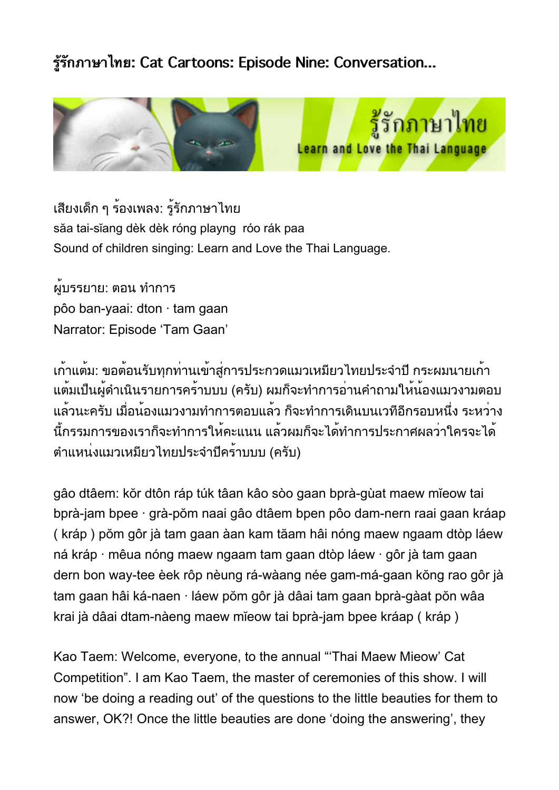## **รรกภาษาไทย: Cat Cartoons: Episode Nine: Conversation...**



เสียงเด็ก ๆ ร้องเพลง: รู้รักภาษาไทย săa tai-sĭang dèk dèk róng playng róo rák paa Sound of children singing: Learn and Love the Thai Language.

ผู้บรรยาย: ตอน ทำการ pôo ban-yaai: dton · tam gaan Narrator: Episode 'Tam Gaan'

เก้าแต้ม: ขอต้อนรับทุกท่านเข้าสู่การประกวดแมวเหมียวไทยประจำปี กระผมนายเก้า แต้มเป็นผู้ดำเนินรายการคร้าบบบ (ครับ) ผมก็จะทำการอ่านคำถามให้น้องแมวงามตอบ แล้วนะครับ เมื่อน้องแมวงามทำการตอบแล้ว ก็จะทำการเดินบนเวทีอีกรอบหนึ่ง ระหว่าง นี้กรรมการของเราก็จะทำการให้คะแนน แล้วผมก็จะได้ทำการประกาศผลว่าใครจะได้ ตำแหน่งแมวเหมียวไทยประจำปีคร้าบบบ (ครับ)

gâo dtâem: kŏr dtôn ráp túk tâan kâo sòo gaan bprà-gùat maew mĭeow tai bprà-jam bpee · grà-pŏm naai gâo dtâem bpen pôo dam-nern raai gaan kráap ( kráp ) pŏm gôr jà tam gaan àan kam tăam hâi nóng maew ngaam dtòp láew ná kráp · mêua nóng maew ngaam tam gaan dtòp láew · gôr jà tam gaan dern bon way-tee èek rôp nèung rá-wàang née gam-má-gaan kŏng rao gôr jà tam gaan hâi ká-naen · láew pŏm gôr jà dâai tam gaan bprà-gàat pŏn wâa krai jà dâai dtam-nàeng maew mĭeow tai bprà-jam bpee kráap ( kráp )

Kao Taem: Welcome, everyone, to the annual "'Thai Maew Mieow' Cat Competition". I am Kao Taem, the master of ceremonies of this show. I will now 'be doing a reading out' of the questions to the little beauties for them to answer, OK?! Once the little beauties are done 'doing the answering', they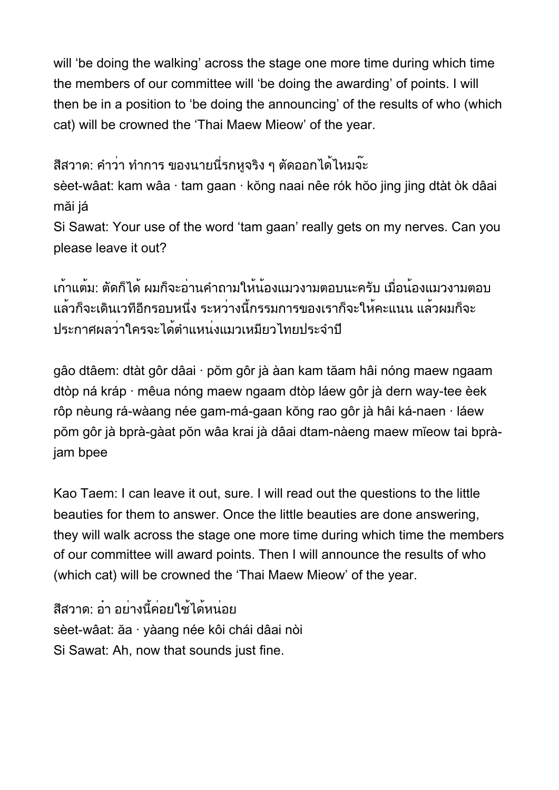will 'be doing the walking' across the stage one more time during which time the members of our committee will 'be doing the awarding' of points. I will then be in a position to 'be doing the announcing' of the results of who (which cat) will be crowned the 'Thai Maew Mieow' of the year.

สีสวาด: คำว่า ทำการ ของนายนี่รกหจริง ๆ ตัดออกได้ไหมจ๊ะ sèet-wâat: kam wâa · tam gaan · kŏng naai nêe rók hŏo jing jing dtàt òk dâai

măi já

Si Sawat: Your use of the word 'tam gaan' really gets on my nerves. Can you please leave it out?

เก้าแต้ม: ตัดก็ได้ ผมก็จะอ่านคำถามให้น้องแมวงามตอบนะครับ เมื่อน้องแมวงามตอบ แล้วก็จะเดินเวทีอีกรอบหนึ่ง ระหว่างนี้กรรมการของเราก็จะให้คะแนน แล้วผมก็จะ ประกาศผลว่าใครจะได้ตำแหน่งแมวเหมียวไทยประจำปี

gâo dtâem: dtàt gôr dâai · pŏm gôr jà àan kam tăam hâi nóng maew ngaam dtòp ná kráp · mêua nóng maew ngaam dtòp láew gôr jà dern way-tee èek rôp nèung rá-wàang née gam-má-gaan kŏng rao gôr jà hâi ká-naen · láew pŏm gôr jà bprà-gàat pŏn wâa krai jà dâai dtam-nàeng maew mĭeow tai bpràjam bpee

Kao Taem: I can leave it out, sure. I will read out the questions to the little beauties for them to answer. Once the little beauties are done answering, they will walk across the stage one more time during which time the members of our committee will award points. Then I will announce the results of who (which cat) will be crowned the 'Thai Maew Mieow' of the year.

สีสวาด: อ๋า อย่างนี้ค่อยใช้ได้หน่อย sèet-wâat: ăa · yàang née kôi chái dâai nòi Si Sawat: Ah, now that sounds just fine.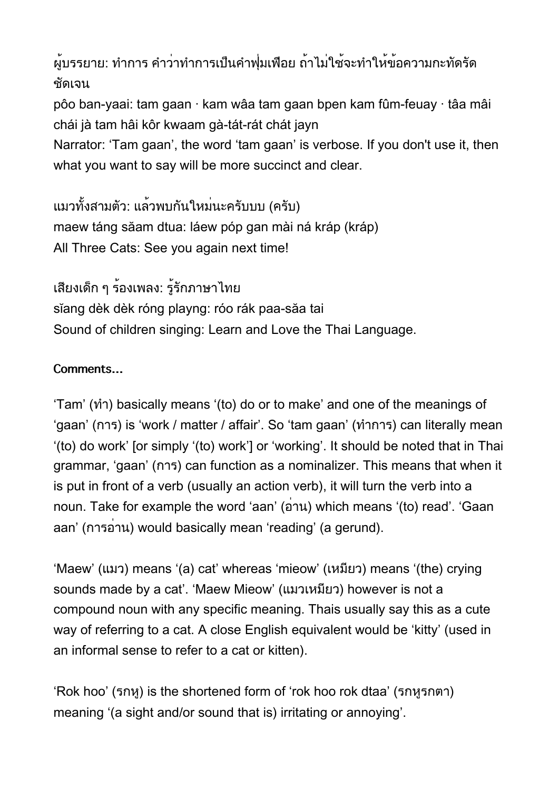ผู้บรรยาย: ทำการ คำว่าทำการเป็นคำฟุ่มเฟือย ถ้าไม่ใช้จะทำให้ข้อความกะทัดรัด ชัดเจน

pôo ban-yaai: tam gaan · kam wâa tam gaan bpen kam fûm-feuay · tâa mâi chái jà tam hâi kôr kwaam gà-tát-rát chát jayn

Narrator: 'Tam gaan', the word 'tam gaan' is verbose. If you don't use it, then what you want to say will be more succinct and clear.

แมวทั้งสามตัว: แล้วพบกันใหม่นะครับบบ (ครับ) maew táng săam dtua: láew póp gan mài ná kráp (kráp) All Three Cats: See you again next time!

เสียงเด็ก ๆ ร้องเพลง: รู้รักภาษาไทย sĭang dèk dèk róng playng: róo rák paa-săa tai Sound of children singing: Learn and Love the Thai Language.

## **Comments…**

'Tam' (ทำ) basically means '(to) do or to make' and one of the meanings of 'gaan' (การ) is 'work / matter / affair'. So 'tam gaan' (ทำการ) can literally mean '(to) do work' [or simply '(to) work'] or 'working'. It should be noted that in Thai grammar, 'gaan' (การ) can function as a nominalizer. This means that when it is put in front of a verb (usually an action verb), it will turn the verb into a noun. Take for example the word 'aan' (อ่าน) which means '(to) read'. 'Gaan aan' (การอ่าน) would basically mean 'reading' (a gerund).

'Maew' (แมว) means '(a) cat' whereas 'mieow' (เหมียว) means '(the) crying sounds made by a cat'. 'Maew Mieow' (แมวเหมียว) however is not a compound noun with any specific meaning. Thais usually say this as a cute way of referring to a cat. A close English equivalent would be 'kitty' (used in an informal sense to refer to a cat or kitten).

'Rok hoo' (รกหู) is the shortened form of 'rok hoo rok dtaa' (รกหูรกตา) meaning '(a sight and/or sound that is) irritating or annoying'.